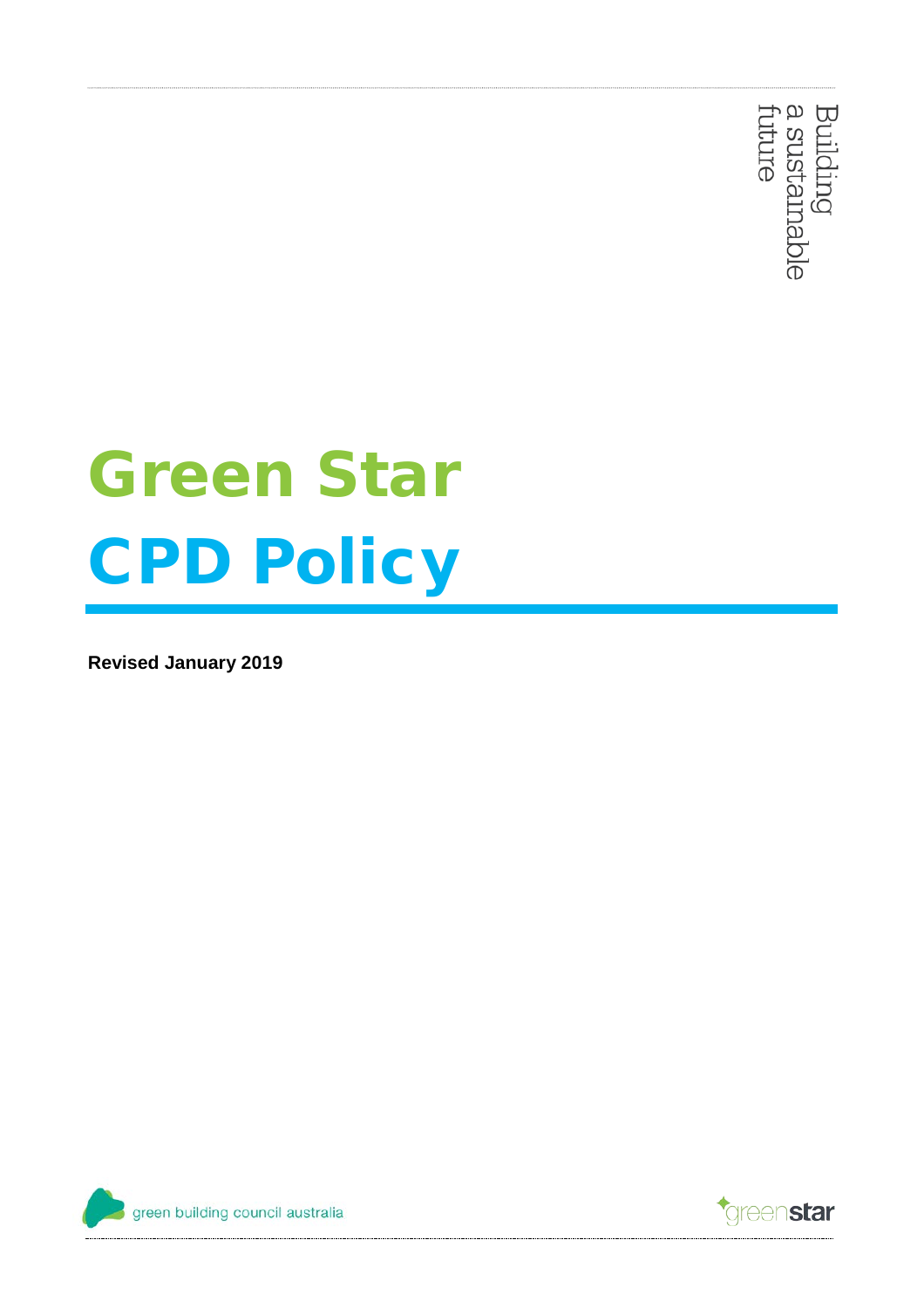Building<br>a sustamable<br>future

# Green Star CPD Policy

**Revised January 2019**



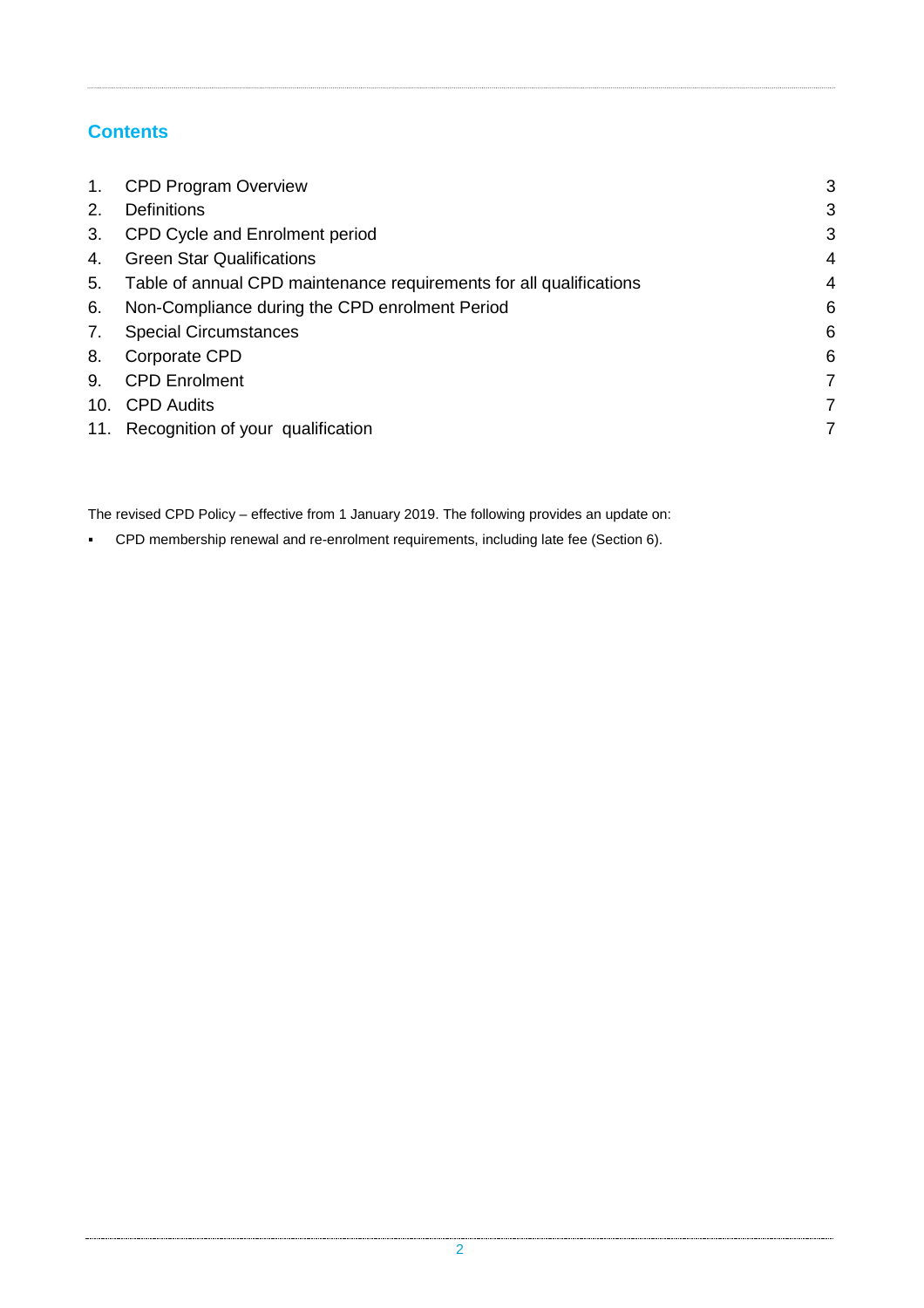# **Contents**

| $\mathbf{1}$ . | <b>CPD Program Overview</b>                                         | 3 |
|----------------|---------------------------------------------------------------------|---|
| 2.             | <b>Definitions</b>                                                  | 3 |
| 3.             | CPD Cycle and Enrolment period                                      | 3 |
| 4.             | <b>Green Star Qualifications</b>                                    | 4 |
| 5.             | Table of annual CPD maintenance requirements for all qualifications | 4 |
| 6.             | Non-Compliance during the CPD enrolment Period                      | 6 |
| 7.             | <b>Special Circumstances</b>                                        | 6 |
| 8.             | Corporate CPD                                                       | 6 |
| 9.             | <b>CPD Enrolment</b>                                                | 7 |
|                | 10. CPD Audits                                                      | 7 |
|                | 11. Recognition of your qualification                               | 7 |

The revised CPD Policy – effective from 1 January 2019. The following provides an update on:

CPD membership renewal and re-enrolment requirements, including late fee (Section 6).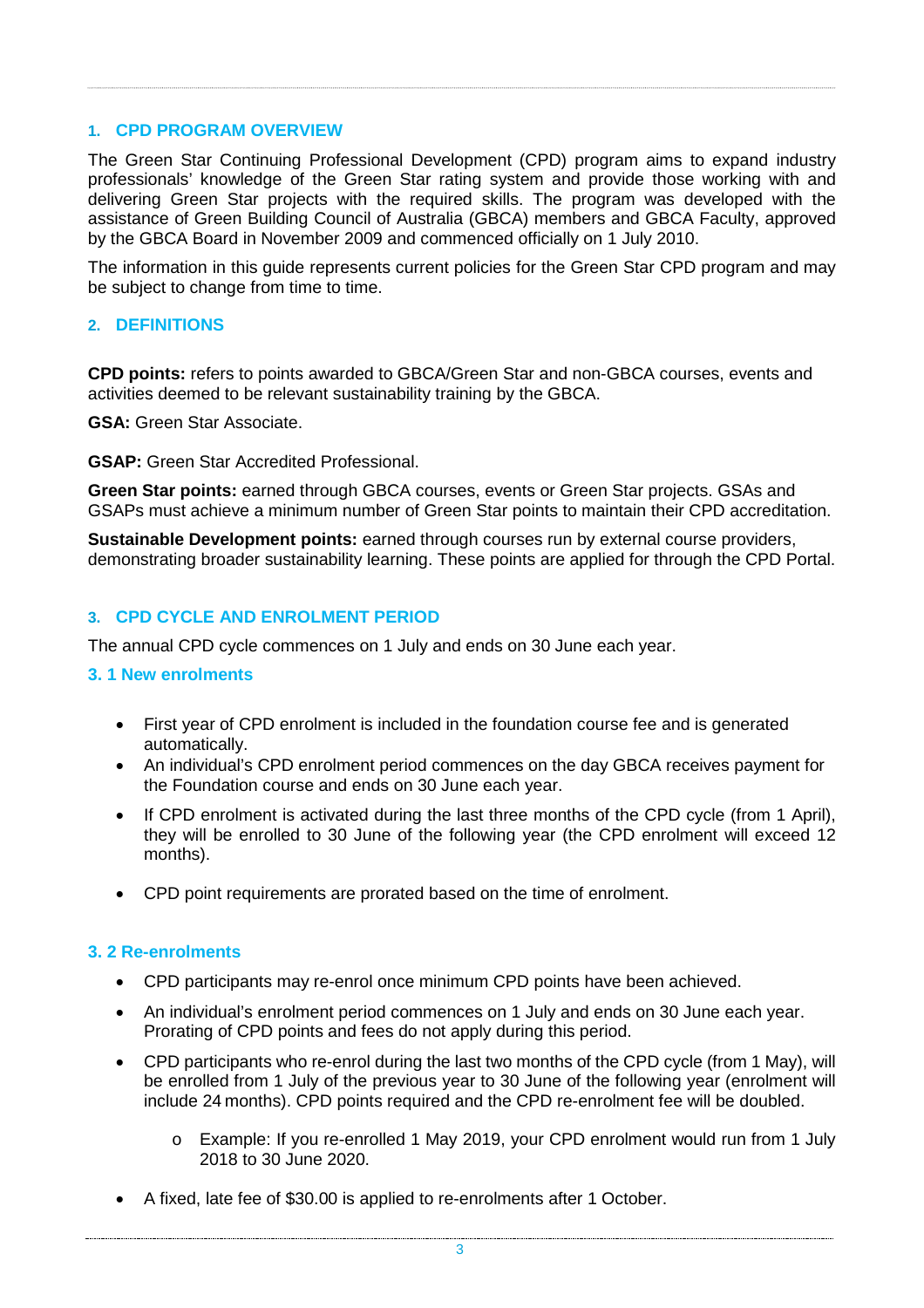#### <span id="page-2-0"></span>**1. CPD PROGRAM OVERVIEW**

The Green Star Continuing Professional Development (CPD) program aims to expand industry professionals' knowledge of the Green Star rating system and provide those working with and delivering Green Star projects with the required skills. The program was developed with the assistance of Green Building Council of Australia (GBCA) members and GBCA Faculty, approved by the GBCA Board in November 2009 and commenced officially on 1 July 2010.

The information in this guide represents current policies for the Green Star CPD program and may be subject to change from time to time.

#### <span id="page-2-1"></span>**2. DEFINITIONS**

**CPD points:** refers to points awarded to GBCA/Green Star and non-GBCA courses, events and activities deemed to be relevant sustainability training by the GBCA.

**GSA:** Green Star Associate.

**GSAP:** Green Star Accredited Professional.

**Green Star points:** earned through GBCA courses, events or Green Star projects. GSAs and GSAPs must achieve a minimum number of Green Star points to maintain their CPD accreditation.

**Sustainable Development points:** earned through courses run by external course providers, demonstrating broader sustainability learning. These points are applied for through the CPD Portal.

#### <span id="page-2-2"></span>**3. CPD CYCLE AND ENROLMENT PERIOD**

The annual CPD cycle commences on 1 July and ends on 30 June each year.

#### **3. 1 New enrolments**

- First year of CPD enrolment is included in the foundation course fee and is generated automatically.
- An individual's CPD enrolment period commences on the day GBCA receives payment for the Foundation course and ends on 30 June each year.
- If CPD enrolment is activated during the last three months of the CPD cycle (from 1 April), they will be enrolled to 30 June of the following year (the CPD enrolment will exceed 12 months).
- CPD point requirements are prorated based on the time of enrolment.

#### **3. 2 Re-enrolments**

- CPD participants may re-enrol once minimum CPD points have been achieved.
- An individual's enrolment period commences on 1 July and ends on 30 June each year. Prorating of CPD points and fees do not apply during this period.
- CPD participants who re-enrol during the last two months of the CPD cycle (from 1 May), will be enrolled from 1 July of the previous year to 30 June of the following year (enrolment will include 24 months). CPD points required and the CPD re-enrolment fee will be doubled.
	- o Example: If you re-enrolled 1 May 2019, your CPD enrolment would run from 1 July 2018 to 30 June 2020.
- A fixed, late fee of \$30.00 is applied to re-enrolments after 1 October.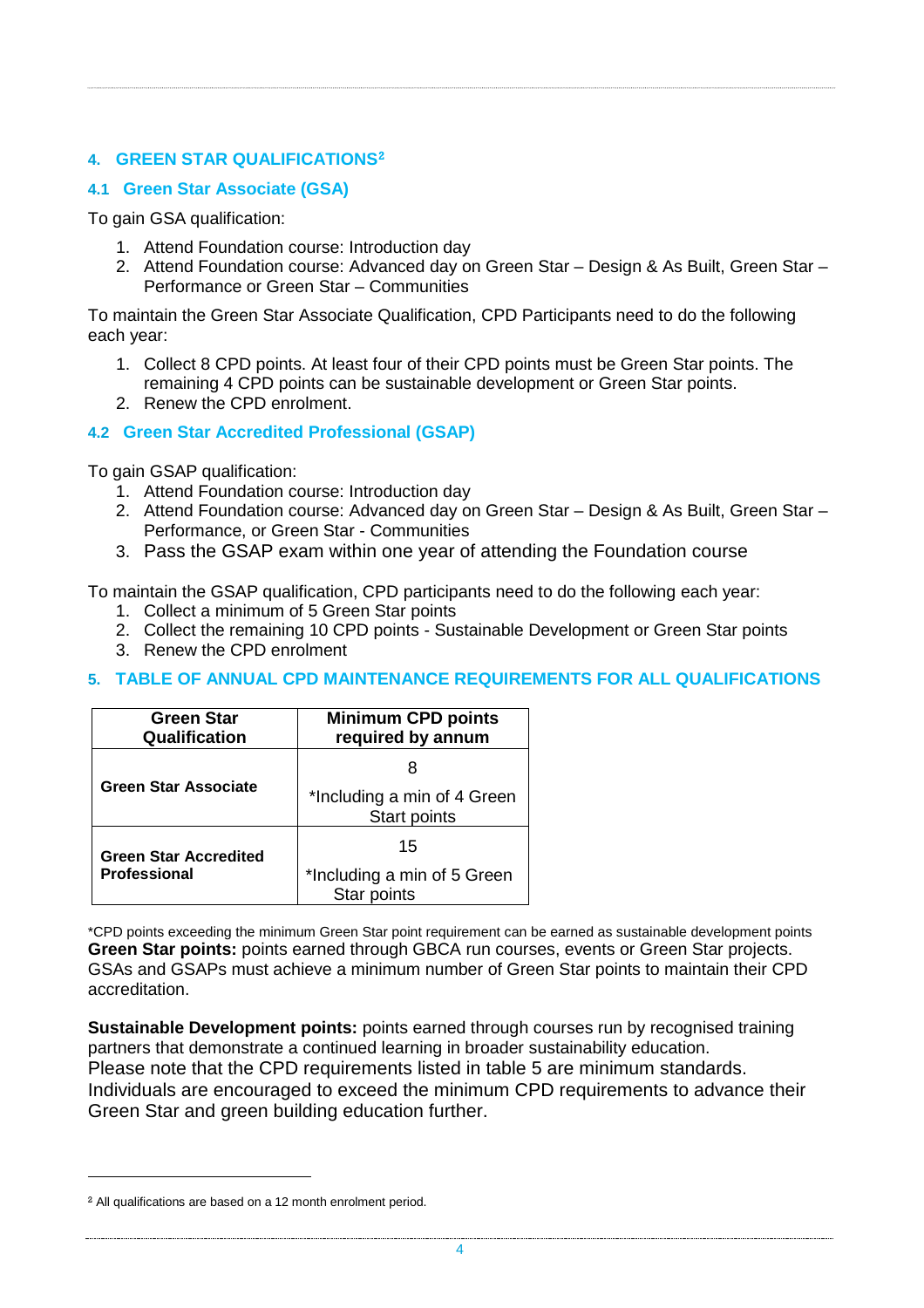## <span id="page-3-0"></span>**4. GREEN STAR QUALIFICATIONS[2](#page-3-2)**

## **4.1 Green Star Associate (GSA)**

To gain GSA qualification:

- 1. Attend Foundation course: Introduction day
- 2. Attend Foundation course: Advanced day on Green Star Design & As Built, Green Star Performance or Green Star – Communities

To maintain the Green Star Associate Qualification, CPD Participants need to do the following each year:

- 1. Collect 8 CPD points. At least four of their CPD points must be Green Star points. The remaining 4 CPD points can be sustainable development or Green Star points.
- 2. Renew the CPD enrolment.

## **4.2 Green Star Accredited Professional (GSAP)**

To gain GSAP qualification:

- 1. Attend Foundation course: Introduction day
- 2. Attend Foundation course: Advanced day on Green Star Design & As Built, Green Star Performance, or Green Star - Communities
- 3. Pass the GSAP exam within one year of attending the Foundation course

To maintain the GSAP qualification, CPD participants need to do the following each year:

- 1. Collect a minimum of 5 Green Star points
- 2. Collect the remaining 10 CPD points Sustainable Development or Green Star points
- 3. Renew the CPD enrolment

## <span id="page-3-1"></span>**5. TABLE OF ANNUAL CPD MAINTENANCE REQUIREMENTS FOR ALL QUALIFICATIONS**

| <b>Green Star</b><br>Qualification | <b>Minimum CPD points</b><br>required by annum     |
|------------------------------------|----------------------------------------------------|
|                                    |                                                    |
| <b>Green Star Associate</b>        | *Including a min of 4 Green<br><b>Start points</b> |
| <b>Green Star Accredited</b>       | 15                                                 |
| <b>Professional</b>                | *Including a min of 5 Green<br>Star points         |

\*CPD points exceeding the minimum Green Star point requirement can be earned as sustainable development points **Green Star points:** points earned through GBCA run courses, events or Green Star projects. GSAs and GSAPs must achieve a minimum number of Green Star points to maintain their CPD accreditation.

**Sustainable Development points:** points earned through courses run by recognised training partners that demonstrate a continued learning in broader sustainability education. Please note that the CPD requirements listed in table 5 are minimum standards. Individuals are encouraged to exceed the minimum CPD requirements to advance their Green Star and green building education further.

 $\overline{a}$ 

<span id="page-3-2"></span><sup>2</sup> All qualifications are based on a 12 month enrolment period.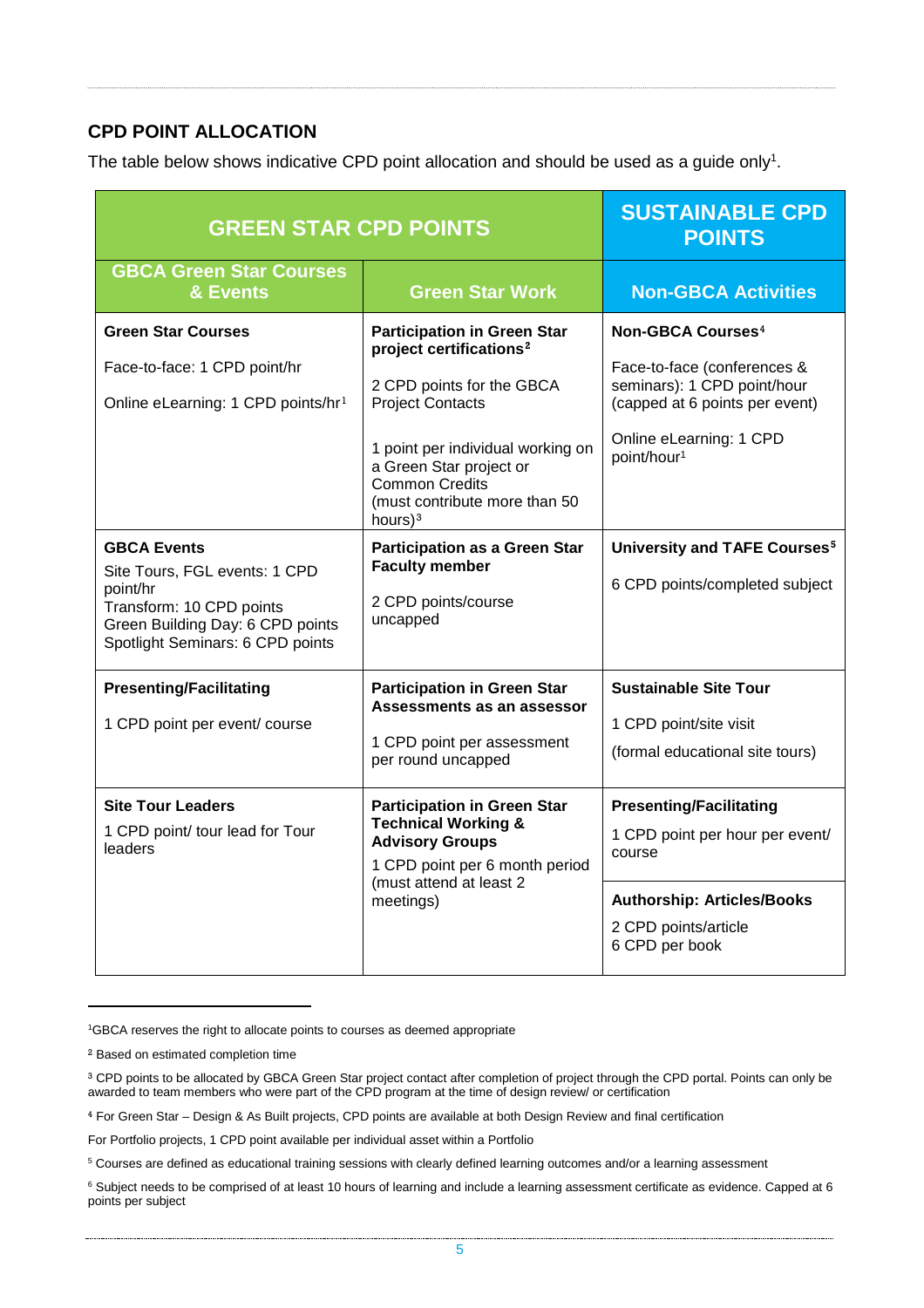# **CPD POINT ALLOCATION**

The table below shows indicative CPD point allocation and should be used as a guide only<sup>1</sup>.

| <b>GREEN STAR CPD POINTS</b>                                                                                                                                                                                                                                                       | <b>SUSTAINABLE CPD</b><br><b>POINTS</b>                                                                                                                                                                                                                                                                                                                                        |                                                                                                                                                                                                                                                                         |
|------------------------------------------------------------------------------------------------------------------------------------------------------------------------------------------------------------------------------------------------------------------------------------|--------------------------------------------------------------------------------------------------------------------------------------------------------------------------------------------------------------------------------------------------------------------------------------------------------------------------------------------------------------------------------|-------------------------------------------------------------------------------------------------------------------------------------------------------------------------------------------------------------------------------------------------------------------------|
| <b>GBCA Green Star Courses</b><br>& Events                                                                                                                                                                                                                                         | <b>Green Star Work</b>                                                                                                                                                                                                                                                                                                                                                         | <b>Non-GBCA Activities</b>                                                                                                                                                                                                                                              |
| <b>Green Star Courses</b><br>Face-to-face: 1 CPD point/hr<br>Online eLearning: 1 CPD points/hr <sup>1</sup><br><b>GBCA Events</b><br>Site Tours, FGL events: 1 CPD<br>point/hr<br>Transform: 10 CPD points<br>Green Building Day: 6 CPD points<br>Spotlight Seminars: 6 CPD points | <b>Participation in Green Star</b><br>project certifications <sup>2</sup><br>2 CPD points for the GBCA<br><b>Project Contacts</b><br>1 point per individual working on<br>a Green Star project or<br><b>Common Credits</b><br>(must contribute more than 50<br>hours $)^3$<br><b>Participation as a Green Star</b><br><b>Faculty member</b><br>2 CPD points/course<br>uncapped | Non-GBCA Courses <sup>4</sup><br>Face-to-face (conferences &<br>seminars): 1 CPD point/hour<br>(capped at 6 points per event)<br>Online eLearning: 1 CPD<br>point/hour <sup>1</sup><br><b>University and TAFE Courses<sup>5</sup></b><br>6 CPD points/completed subject |
| <b>Presenting/Facilitating</b><br>1 CPD point per event/ course<br><b>Site Tour Leaders</b><br>1 CPD point/ tour lead for Tour<br>leaders                                                                                                                                          | <b>Participation in Green Star</b><br>Assessments as an assessor<br>1 CPD point per assessment<br>per round uncapped<br><b>Participation in Green Star</b><br><b>Technical Working &amp;</b><br><b>Advisory Groups</b>                                                                                                                                                         | <b>Sustainable Site Tour</b><br>1 CPD point/site visit<br>(formal educational site tours)<br><b>Presenting/Facilitating</b><br>1 CPD point per hour per event/<br>course                                                                                                |
|                                                                                                                                                                                                                                                                                    | 1 CPD point per 6 month period<br>(must attend at least 2<br>meetings)                                                                                                                                                                                                                                                                                                         | <b>Authorship: Articles/Books</b><br>2 CPD points/article<br>6 CPD per book                                                                                                                                                                                             |

<span id="page-4-0"></span>1 GBCA reserves the right to allocate points to courses as deemed appropriate

-

<sup>2</sup> Based on estimated completion time

<span id="page-4-1"></span><sup>&</sup>lt;sup>3</sup> CPD points to be allocated by GBCA Green Star project contact after completion of project through the CPD portal. Points can only be awarded to team members who were part of the CPD program at the time of design review/ or certification

<span id="page-4-2"></span><sup>4</sup> For Green Star – Design & As Built projects, CPD points are available at both Design Review and final certification

For Portfolio projects, 1 CPD point available per individual asset within a Portfolio

<span id="page-4-3"></span><sup>5</sup> Courses are defined as educational training sessions with clearly defined learning outcomes and/or a learning assessment

<span id="page-4-4"></span><sup>&</sup>lt;sup>6</sup> Subject needs to be comprised of at least 10 hours of learning and include a learning assessment certificate as evidence. Capped at 6 points per subject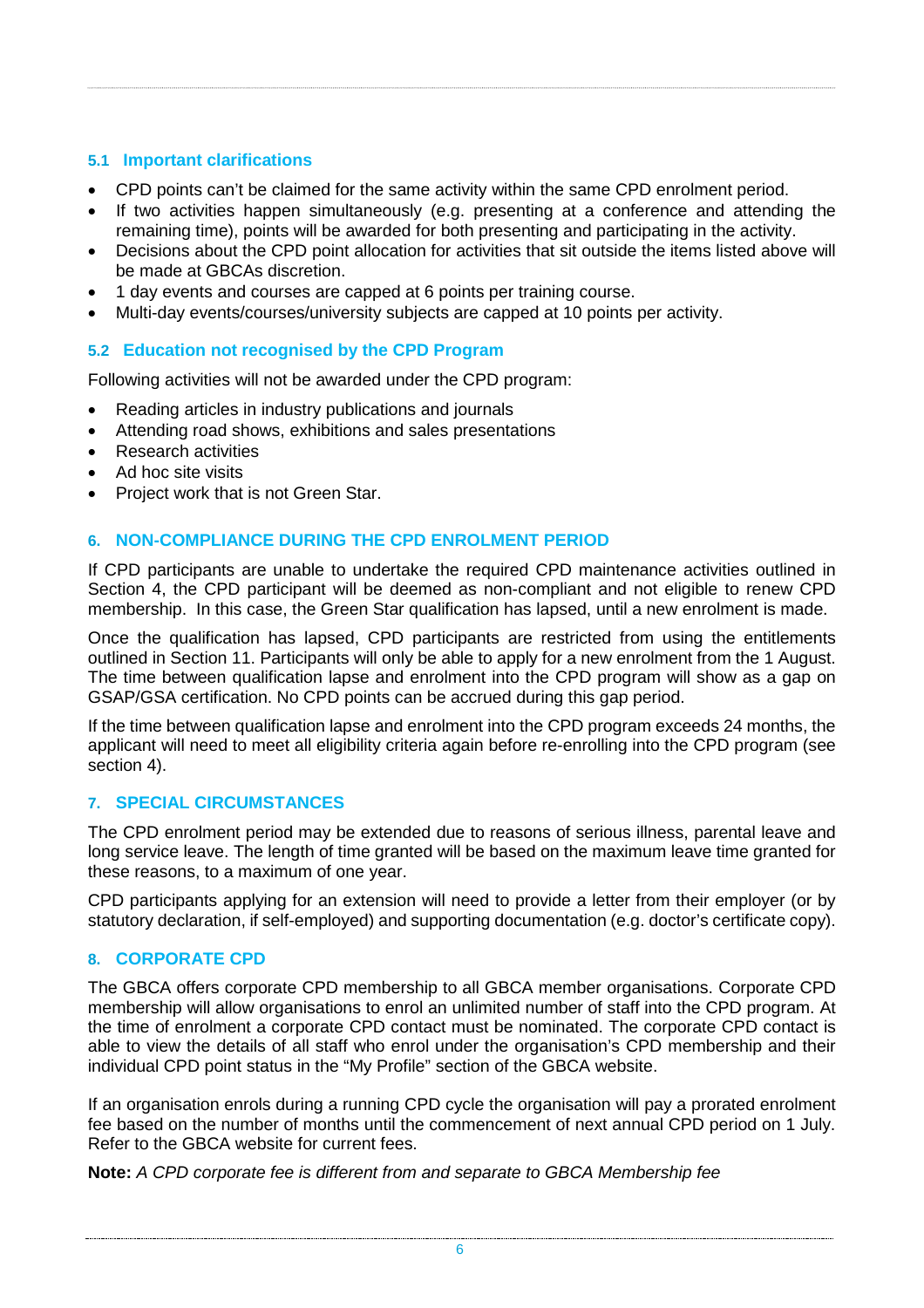## **5.1 Important clarifications**

- CPD points can't be claimed for the same activity within the same CPD enrolment period.
- If two activities happen simultaneously (e.g. presenting at a conference and attending the remaining time), points will be awarded for both presenting and participating in the activity.
- Decisions about the CPD point allocation for activities that sit outside the items listed above will be made at GBCAs discretion.
- 1 day events and courses are capped at 6 points per training course.
- Multi-day events/courses/university subjects are capped at 10 points per activity.

## **5.2 Education not recognised by the CPD Program**

Following activities will not be awarded under the CPD program:

- Reading articles in industry publications and journals
- Attending road shows, exhibitions and sales presentations
- Research activities
- Ad hoc site visits
- Project work that is not Green Star.

## <span id="page-5-0"></span>**6. NON-COMPLIANCE DURING THE CPD ENROLMENT PERIOD**

If CPD participants are unable to undertake the required CPD maintenance activities outlined in Section 4, the CPD participant will be deemed as non-compliant and not eligible to renew CPD membership. In this case, the Green Star qualification has lapsed, until a new enrolment is made.

Once the qualification has lapsed, CPD participants are restricted from using the entitlements outlined in Section 11. Participants will only be able to apply for a new enrolment from the 1 August. The time between qualification lapse and enrolment into the CPD program will show as a gap on GSAP/GSA certification. No CPD points can be accrued during this gap period.

If the time between qualification lapse and enrolment into the CPD program exceeds 24 months, the applicant will need to meet all eligibility criteria again before re-enrolling into the CPD program (see section 4).

## <span id="page-5-1"></span>**7. SPECIAL CIRCUMSTANCES**

The CPD enrolment period may be extended due to reasons of serious illness, parental leave and long service leave. The length of time granted will be based on the maximum leave time granted for these reasons, to a maximum of one year.

CPD participants applying for an extension will need to provide a letter from their employer (or by statutory declaration, if self-employed) and supporting documentation (e.g. doctor's certificate copy).

## <span id="page-5-2"></span>**8. CORPORATE CPD**

The GBCA offers corporate CPD membership to all GBCA member organisations. Corporate CPD membership will allow organisations to enrol an unlimited number of staff into the CPD program. At the time of enrolment a corporate CPD contact must be nominated. The corporate CPD contact is able to view the details of all staff who enrol under the organisation's CPD membership and their individual CPD point status in the "My Profile" section of the GBCA website.

If an organisation enrols during a running CPD cycle the organisation will pay a prorated enrolment fee based on the number of months until the commencement of next annual CPD period on 1 July. Refer to the GBCA website for current fees.

**Note:** *A CPD corporate fee is different from and separate to GBCA Membership fee*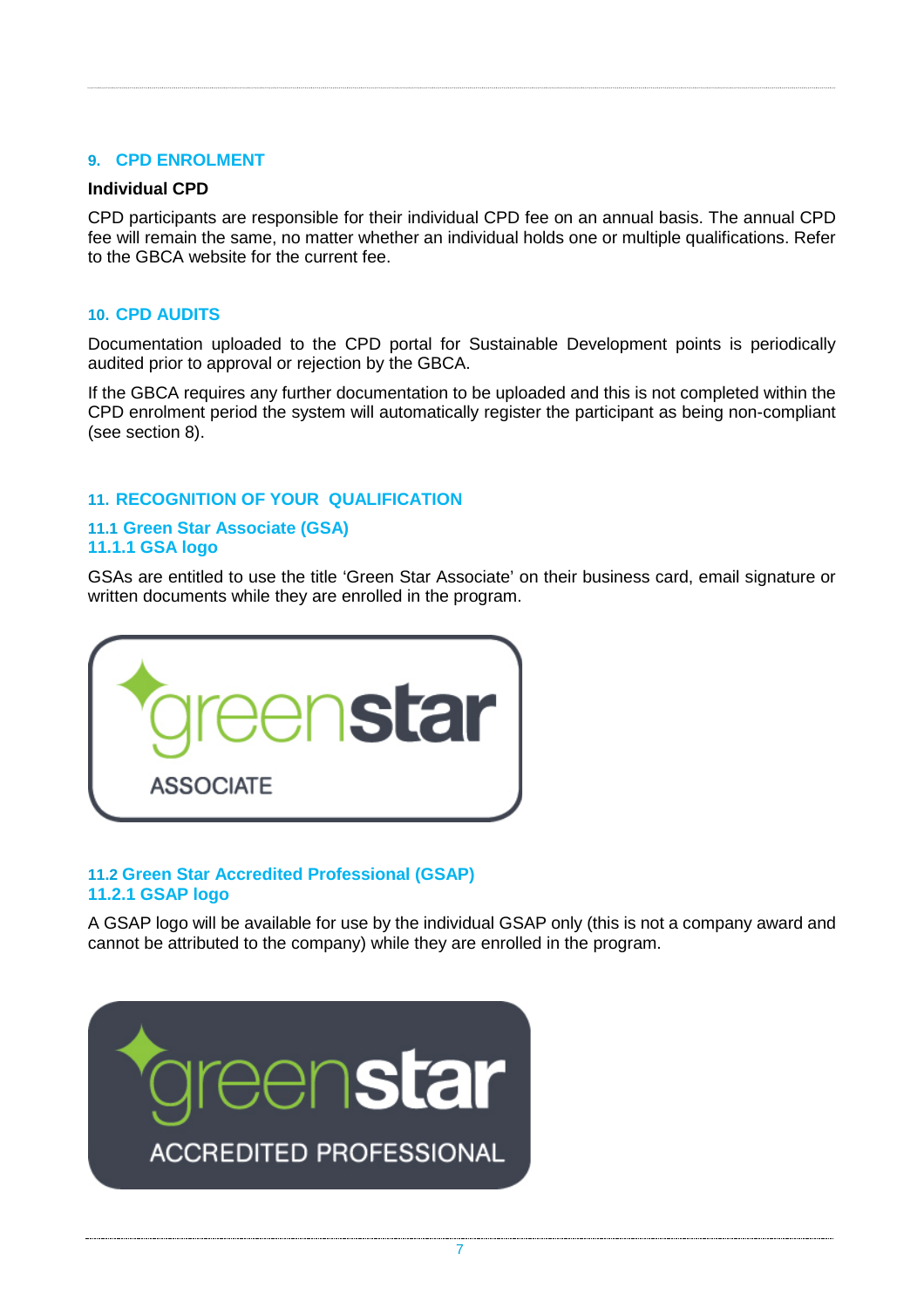#### <span id="page-6-0"></span>**9. CPD ENROLMENT**

#### **Individual CPD**

CPD participants are responsible for their individual CPD fee on an annual basis. The annual CPD fee will remain the same, no matter whether an individual holds one or multiple qualifications. Refer to the GBCA website for the current fee.

#### <span id="page-6-1"></span>**10. CPD AUDITS**

Documentation uploaded to the CPD portal for Sustainable Development points is periodically audited prior to approval or rejection by the GBCA.

If the GBCA requires any further documentation to be uploaded and this is not completed within the CPD enrolment period the system will automatically register the participant as being non-compliant (see section 8).

#### <span id="page-6-2"></span>**11. RECOGNITION OF YOUR QUALIFICATION**

#### **11.1 Green Star Associate (GSA) 11.1.1 GSA logo**

GSAs are entitled to use the title 'Green Star Associate' on their business card, email signature or written documents while they are enrolled in the program.



#### **11.2 Green Star Accredited Professional (GSAP) 11.2.1 GSAP logo**

A GSAP logo will be available for use by the individual GSAP only (this is not a company award and cannot be attributed to the company) while they are enrolled in the program.